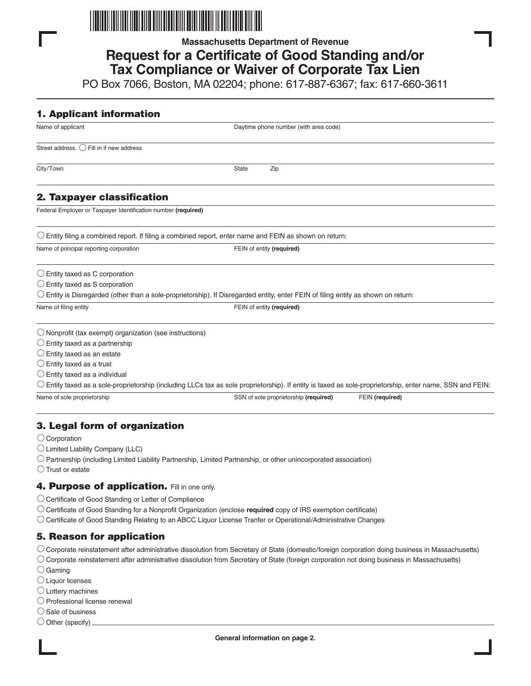

**Massachusetts Department of Revenue**

# **Request for a Certificate of Good Standing and/or Tax Compliance or Waiver of Corporate Tax Lien**

PO Box 7066, Boston, MA 02204; phone: 617-887-6367; fax: 617-660-3611

| <b>1. Applicant information</b>                                   |                                                                                                                                                                             |
|-------------------------------------------------------------------|-----------------------------------------------------------------------------------------------------------------------------------------------------------------------------|
| Name of applicant                                                 | Daytime phone number (with area code)                                                                                                                                       |
| Street address. () Fill in if new address                         |                                                                                                                                                                             |
| City/Town                                                         | State<br>Zip                                                                                                                                                                |
| 2. Taxpayer classification                                        |                                                                                                                                                                             |
| Federal Employer or Taxpayer Identification number (required)     |                                                                                                                                                                             |
|                                                                   | $\bigcirc$ Entity filing a combined report. If filing a combined report, enter name and FEIN as shown on return:                                                            |
| Name of principal reporting corporation                           | FEIN of entity (required)                                                                                                                                                   |
| $\bigcirc$ Entity taxed as C corporation                          |                                                                                                                                                                             |
| $\bigcirc$ Entity taxed as S corporation                          |                                                                                                                                                                             |
|                                                                   | $\circlearrowright$ Entity is Disregarded (other than a sole-proprietorship). If Disregarded entity, enter FEIN of filing entity as shown on return:                        |
| Name of filing entity                                             | FEIN of entity (required)                                                                                                                                                   |
| $\bigcirc$ Nonprofit (tax exempt) organization (see instructions) |                                                                                                                                                                             |
| $\bigcirc$ Entity taxed as a partnership                          |                                                                                                                                                                             |
| $\bigcirc$ Entity taxed as an estate                              |                                                                                                                                                                             |
| $\bigcirc$ Entity taxed as a trust                                |                                                                                                                                                                             |
| $\bigcirc$ Entity taxed as a individual                           |                                                                                                                                                                             |
|                                                                   | $\circlearrowright$ Entity taxed as a sole-proprietorship (including LLCs tax as sole proprietorship). If entity is taxed as sole-proprietorship, enter name, SSN and FEIN: |
| Name of sole proprietorship                                       | SSN of sole proprietorship (required)<br>FEIN (required)                                                                                                                    |
|                                                                   |                                                                                                                                                                             |
|                                                                   |                                                                                                                                                                             |

# **3. Legal form of organization**

- O Corporation
- $\bigcirc$  Limited Liability Company (LLC)
- Partnership (including Limited Liability Partnership, Limited Partnership, or other unincorporated association)
- $\bigcirc$  Trust or estate

### **4. Purpose of application.** Fill in one only.

- O Certificate of Good Standing or Letter of Compliance
- Certificate of Good Standing for a Nonprofit Organization (enclose **required** copy of IRS exemption certificate)
- Certificate of Good Standing Relating to an ABCC Liquor License Tranfer or Operational/Administrative Changes

# **5. Reason for application**

- Corporate reinstatement after administrative dissolution from Secretary of State (domestic/foreign corporation doing business in Massachusetts)
- $\circlearrowright$  Corporate reinstatement after administrative dissolution from Secretary of State (foreign corporation not doing business in Massachusetts)
- $\bigcirc$  Gaming
- Liquor licenses
- $\bigcirc$  Lottery machines
- $\bigcirc$  Professional license renewal
- $\bigcirc$  Sale of business
- $\bigcirc$  Other (specify).